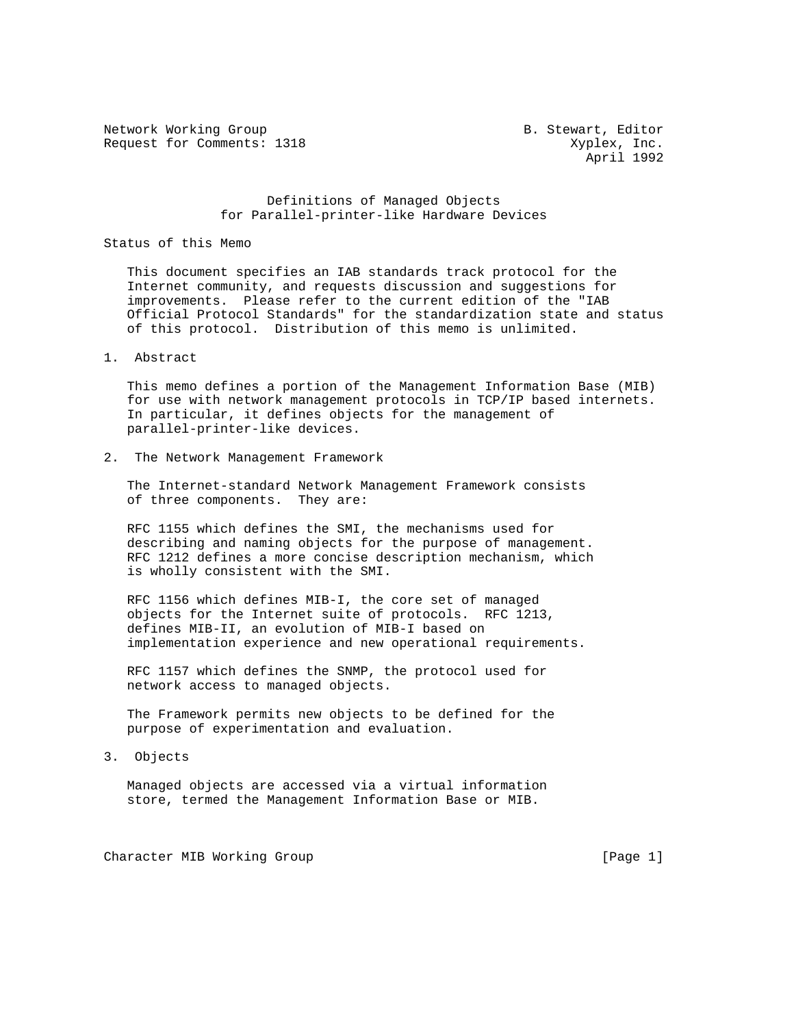Network Working Group and B. Stewart, Editor Request for Comments: 1318 Xyplex, Inc.

April 1992

## Definitions of Managed Objects for Parallel-printer-like Hardware Devices

Status of this Memo

 This document specifies an IAB standards track protocol for the Internet community, and requests discussion and suggestions for improvements. Please refer to the current edition of the "IAB Official Protocol Standards" for the standardization state and status of this protocol. Distribution of this memo is unlimited.

1. Abstract

 This memo defines a portion of the Management Information Base (MIB) for use with network management protocols in TCP/IP based internets. In particular, it defines objects for the management of parallel-printer-like devices.

2. The Network Management Framework

 The Internet-standard Network Management Framework consists of three components. They are:

 RFC 1155 which defines the SMI, the mechanisms used for describing and naming objects for the purpose of management. RFC 1212 defines a more concise description mechanism, which is wholly consistent with the SMI.

 RFC 1156 which defines MIB-I, the core set of managed objects for the Internet suite of protocols. RFC 1213, defines MIB-II, an evolution of MIB-I based on implementation experience and new operational requirements.

 RFC 1157 which defines the SNMP, the protocol used for network access to managed objects.

 The Framework permits new objects to be defined for the purpose of experimentation and evaluation.

3. Objects

 Managed objects are accessed via a virtual information store, termed the Management Information Base or MIB.

Character MIB Working Group [Page 1]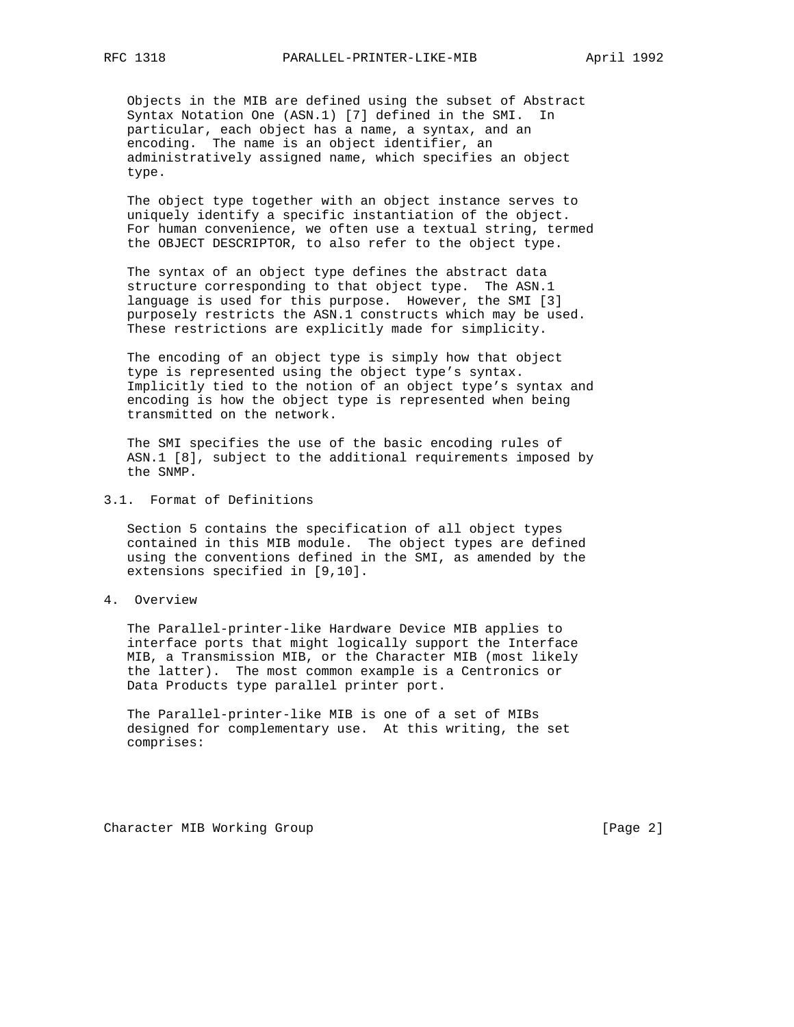Objects in the MIB are defined using the subset of Abstract Syntax Notation One (ASN.1) [7] defined in the SMI. In particular, each object has a name, a syntax, and an encoding. The name is an object identifier, an administratively assigned name, which specifies an object type.

 The object type together with an object instance serves to uniquely identify a specific instantiation of the object. For human convenience, we often use a textual string, termed the OBJECT DESCRIPTOR, to also refer to the object type.

 The syntax of an object type defines the abstract data structure corresponding to that object type. The ASN.1 language is used for this purpose. However, the SMI [3] purposely restricts the ASN.1 constructs which may be used. These restrictions are explicitly made for simplicity.

 The encoding of an object type is simply how that object type is represented using the object type's syntax. Implicitly tied to the notion of an object type's syntax and encoding is how the object type is represented when being transmitted on the network.

 The SMI specifies the use of the basic encoding rules of ASN.1 [8], subject to the additional requirements imposed by the SNMP.

3.1. Format of Definitions

 Section 5 contains the specification of all object types contained in this MIB module. The object types are defined using the conventions defined in the SMI, as amended by the extensions specified in [9,10].

4. Overview

 The Parallel-printer-like Hardware Device MIB applies to interface ports that might logically support the Interface MIB, a Transmission MIB, or the Character MIB (most likely the latter). The most common example is a Centronics or Data Products type parallel printer port.

 The Parallel-printer-like MIB is one of a set of MIBs designed for complementary use. At this writing, the set comprises:

Character MIB Working Group **Example 2** 2 and the control of the control of the control of  $[Page 2]$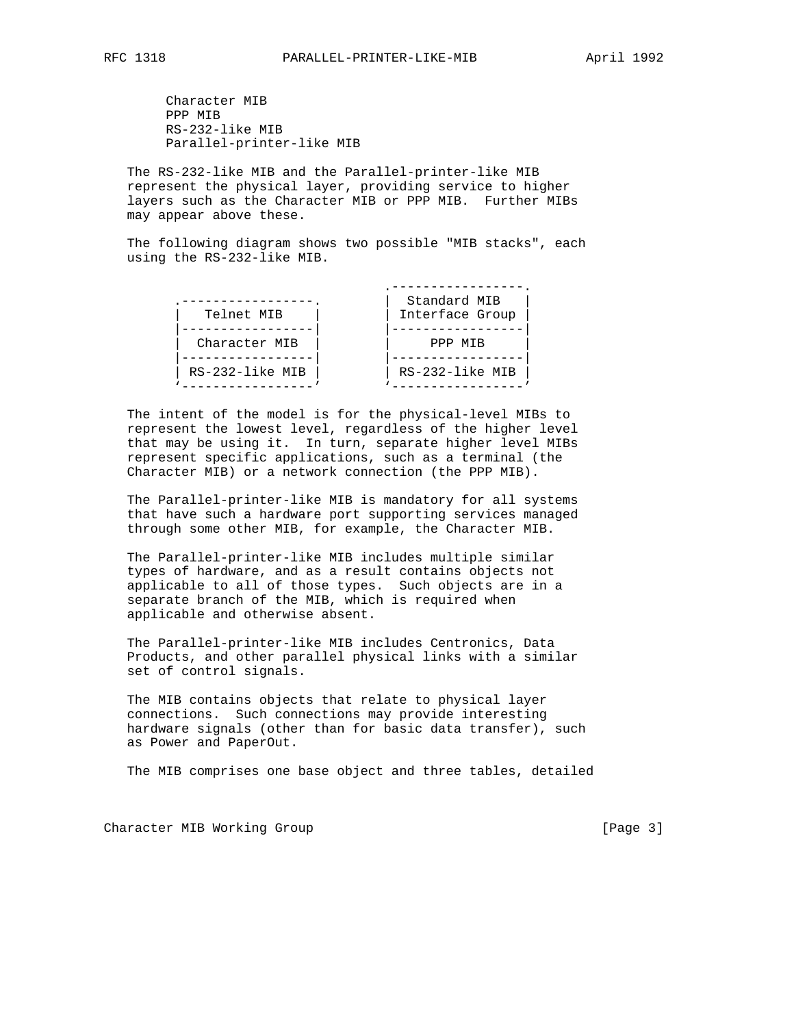Character MIB PPP MIB RS-232-like MIB Parallel-printer-like MIB

 The RS-232-like MIB and the Parallel-printer-like MIB represent the physical layer, providing service to higher layers such as the Character MIB or PPP MIB. Further MIBs may appear above these.

 The following diagram shows two possible "MIB stacks", each using the RS-232-like MIB.

| Telnet MIB      | Standard MIB<br>Interface Group |
|-----------------|---------------------------------|
| Character MIB   | PPP MTR                         |
| RS-232-like MIB | RS-232-like MIB                 |

 The intent of the model is for the physical-level MIBs to represent the lowest level, regardless of the higher level that may be using it. In turn, separate higher level MIBs represent specific applications, such as a terminal (the Character MIB) or a network connection (the PPP MIB).

 The Parallel-printer-like MIB is mandatory for all systems that have such a hardware port supporting services managed through some other MIB, for example, the Character MIB.

 The Parallel-printer-like MIB includes multiple similar types of hardware, and as a result contains objects not applicable to all of those types. Such objects are in a separate branch of the MIB, which is required when applicable and otherwise absent.

 The Parallel-printer-like MIB includes Centronics, Data Products, and other parallel physical links with a similar set of control signals.

 The MIB contains objects that relate to physical layer connections. Such connections may provide interesting hardware signals (other than for basic data transfer), such as Power and PaperOut.

The MIB comprises one base object and three tables, detailed

Character MIB Working Group **Example 20** (Page 3)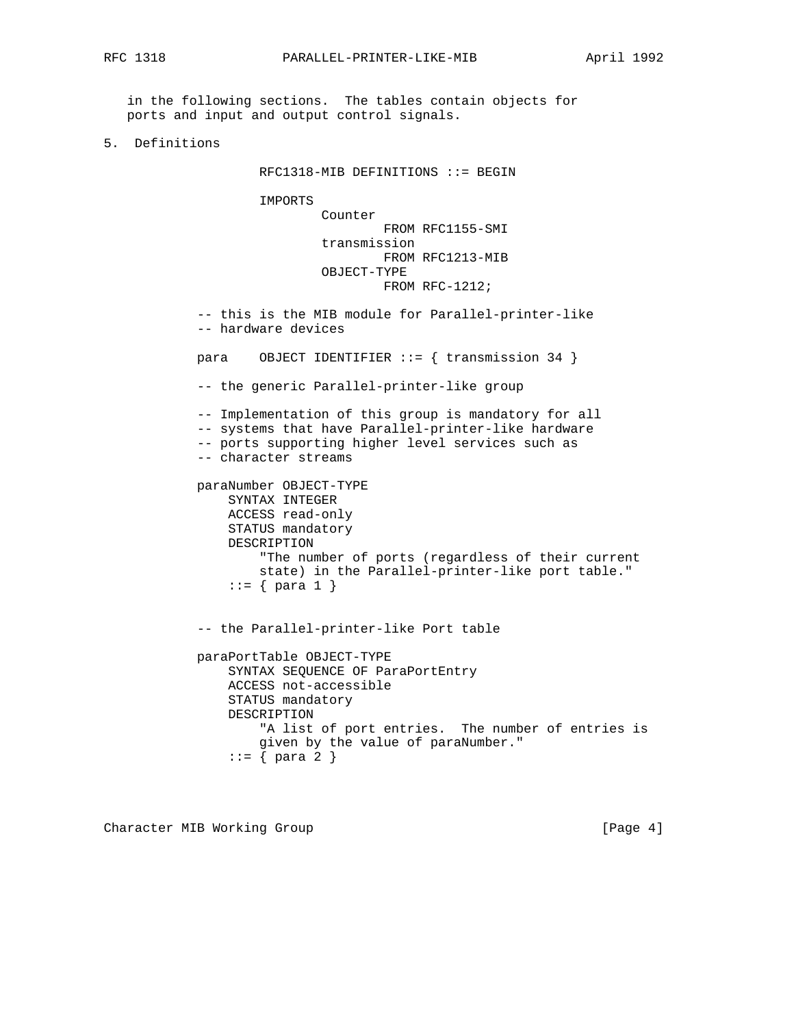in the following sections. The tables contain objects for ports and input and output control signals.

5. Definitions

RFC1318-MIB DEFINITIONS ::= BEGIN

IMPORTS

 Counter FROM RFC1155-SMI transmission FROM RFC1213-MIB OBJECT-TYPE FROM RFC-1212;

 -- this is the MIB module for Parallel-printer-like -- hardware devices

para OBJECT IDENTIFIER ::= { transmission 34 }

-- the generic Parallel-printer-like group

-- Implementation of this group is mandatory for all

-- systems that have Parallel-printer-like hardware

- -- ports supporting higher level services such as
- -- character streams

 paraNumber OBJECT-TYPE SYNTAX INTEGER ACCESS read-only STATUS mandatory DESCRIPTION "The number of ports (regardless of their current state) in the Parallel-printer-like port table."  $::= \{ \text{ para } 1 \}$ 

-- the Parallel-printer-like Port table

 paraPortTable OBJECT-TYPE SYNTAX SEQUENCE OF ParaPortEntry ACCESS not-accessible STATUS mandatory DESCRIPTION "A list of port entries. The number of entries is given by the value of paraNumber." ::= { para 2 }

Character MIB Working Group **Example 20** (Page 4)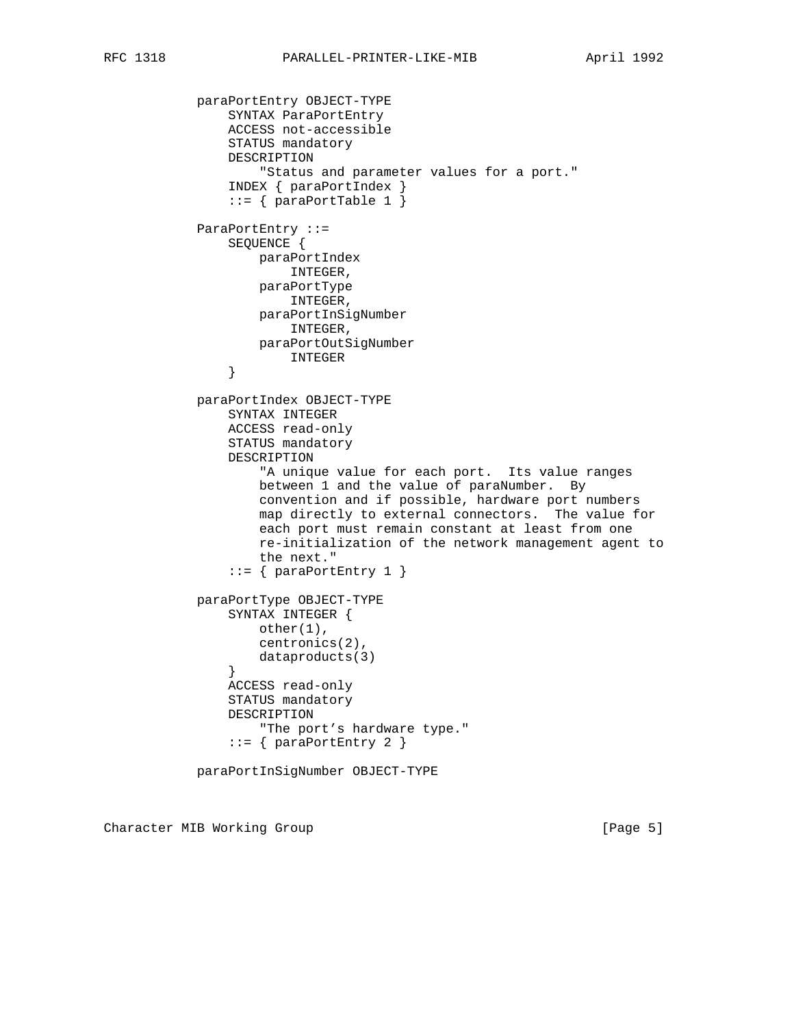```
 paraPortEntry OBJECT-TYPE
               SYNTAX ParaPortEntry
               ACCESS not-accessible
               STATUS mandatory
               DESCRIPTION
                    "Status and parameter values for a port."
                INDEX { paraPortIndex }
               ::= { paraPortTable 1 }
           ParaPortEntry ::=
               SEQUENCE {
                   paraPortIndex
                       INTEGER,
                   paraPortType
                       INTEGER,
                   paraPortInSigNumber
                       INTEGER,
                   paraPortOutSigNumber
                INTEGER
}
           paraPortIndex OBJECT-TYPE
               SYNTAX INTEGER
               ACCESS read-only
               STATUS mandatory
               DESCRIPTION
                    "A unique value for each port. Its value ranges
                   between 1 and the value of paraNumber. By
                   convention and if possible, hardware port numbers
                   map directly to external connectors. The value for
                   each port must remain constant at least from one
                   re-initialization of the network management agent to
                   the next."
               ::= { paraPortEntry 1 }
           paraPortType OBJECT-TYPE
               SYNTAX INTEGER {
                  other(1),
                   centronics(2),
                   dataproducts(3)
}
               ACCESS read-only
               STATUS mandatory
               DESCRIPTION
                   "The port's hardware type."
                ::= { paraPortEntry 2 }
           paraPortInSigNumber OBJECT-TYPE
```
Character MIB Working Group **Example 20** (Page 5)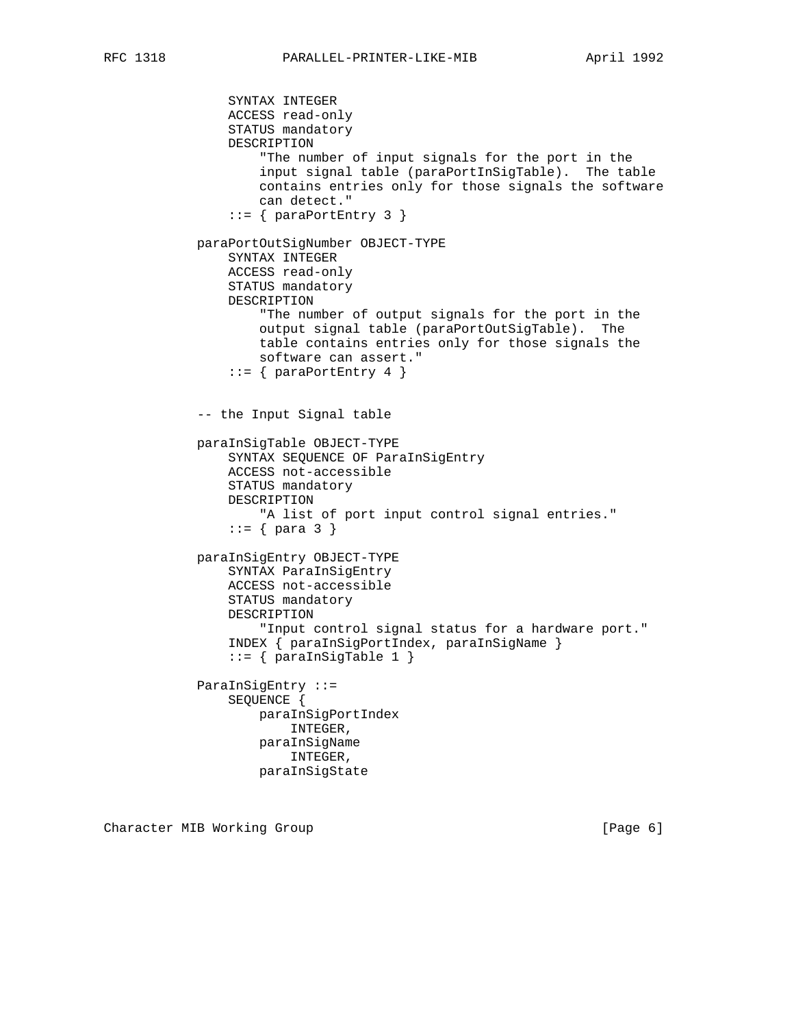```
 SYNTAX INTEGER
    ACCESS read-only
    STATUS mandatory
    DESCRIPTION
        "The number of input signals for the port in the
        input signal table (paraPortInSigTable). The table
        contains entries only for those signals the software
        can detect."
   ::= { paraPortEntry 3 }
paraPortOutSigNumber OBJECT-TYPE
    SYNTAX INTEGER
    ACCESS read-only
    STATUS mandatory
    DESCRIPTION
        "The number of output signals for the port in the
        output signal table (paraPortOutSigTable). The
        table contains entries only for those signals the
        software can assert."
   ::= { paraPortEntry 4 }
-- the Input Signal table
paraInSigTable OBJECT-TYPE
    SYNTAX SEQUENCE OF ParaInSigEntry
    ACCESS not-accessible
    STATUS mandatory
    DESCRIPTION
        "A list of port input control signal entries."
   ::= \{ \text{para } 3 \} paraInSigEntry OBJECT-TYPE
    SYNTAX ParaInSigEntry
    ACCESS not-accessible
    STATUS mandatory
    DESCRIPTION
        "Input control signal status for a hardware port."
    INDEX { paraInSigPortIndex, paraInSigName }
   ::= { paraInSigTable 1 }
ParaInSigEntry ::=
    SEQUENCE {
        paraInSigPortIndex
            INTEGER,
        paraInSigName
            INTEGER,
        paraInSigState
```
Character MIB Working Group **Example 20** (Page 6)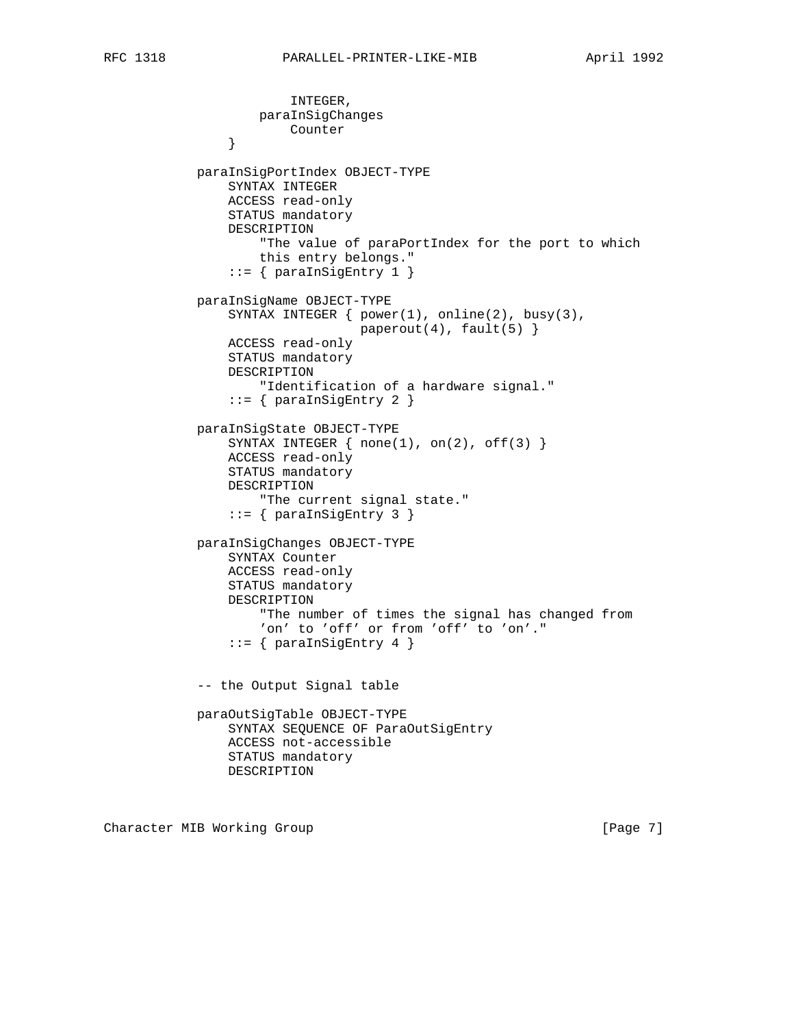```
 INTEGER,
                    paraInSigChanges
                Counter
}
            paraInSigPortIndex OBJECT-TYPE
                SYNTAX INTEGER
                ACCESS read-only
                STATUS mandatory
                DESCRIPTION
                    "The value of paraPortIndex for the port to which
                    this entry belongs."
               ::= { paraInSigEntry 1 }
            paraInSigName OBJECT-TYPE
               SYNTAX INTEGER \{ power(1), online(2), busy(3),\}paperout(4), fault(5)}
                ACCESS read-only
                STATUS mandatory
                DESCRIPTION
                    "Identification of a hardware signal."
               ::= { paraInSigEntry 2 }
            paraInSigState OBJECT-TYPE
               SYNTAX INTEGER \{ none(1), on(2), off(3) \} ACCESS read-only
                STATUS mandatory
                DESCRIPTION
                    "The current signal state."
               ::= { paraInSigEntry 3 }
            paraInSigChanges OBJECT-TYPE
                SYNTAX Counter
               ACCESS read-only
                STATUS mandatory
                DESCRIPTION
                    "The number of times the signal has changed from
                   'on' to 'off' or from 'off' to 'on'."
               ::= { paraInSigEntry 4 }
            -- the Output Signal table
            paraOutSigTable OBJECT-TYPE
                SYNTAX SEQUENCE OF ParaOutSigEntry
                ACCESS not-accessible
                STATUS mandatory
                DESCRIPTION
```
Character MIB Working Group **Example 20** (Page 7)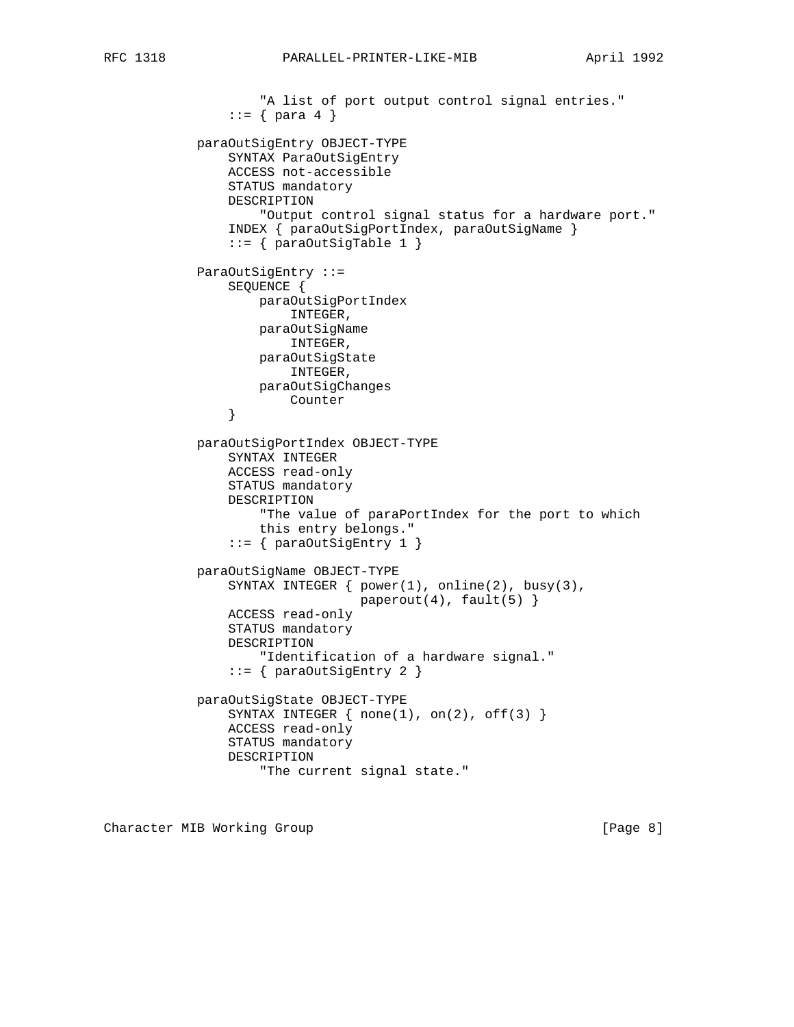```
"A list of port output control signal entries."
               ::= \{ para 4 \} paraOutSigEntry OBJECT-TYPE
                SYNTAX ParaOutSigEntry
                ACCESS not-accessible
                STATUS mandatory
                DESCRIPTION
                    "Output control signal status for a hardware port."
                INDEX { paraOutSigPortIndex, paraOutSigName }
               ::= \{ \text{paraOutSigTable 1} \} ParaOutSigEntry ::=
               SEQUENCE {
                    paraOutSigPortIndex
                        INTEGER,
                    paraOutSigName
                        INTEGER,
                    paraOutSigState
                        INTEGER,
                    paraOutSigChanges
                Counter
}
            paraOutSigPortIndex OBJECT-TYPE
                SYNTAX INTEGER
                ACCESS read-only
                STATUS mandatory
                DESCRIPTION
                    "The value of paraPortIndex for the port to which
                    this entry belongs."
               ::= \{ \text{paraOutSigEntry 1 } \} paraOutSigName OBJECT-TYPE
                SYNTAX INTEGER { power(1), online(2), busy(3),
                                 paperout(4), fault(5) }
                ACCESS read-only
                STATUS mandatory
                DESCRIPTION
                    "Identification of a hardware signal."
                ::= { paraOutSigEntry 2 }
            paraOutSigState OBJECT-TYPE
               SYNTAX INTEGER \{ none(1), on(2), off(3) \} ACCESS read-only
                STATUS mandatory
                DESCRIPTION
                    "The current signal state."
```
Character MIB Working Group **Example 20** (Page 8)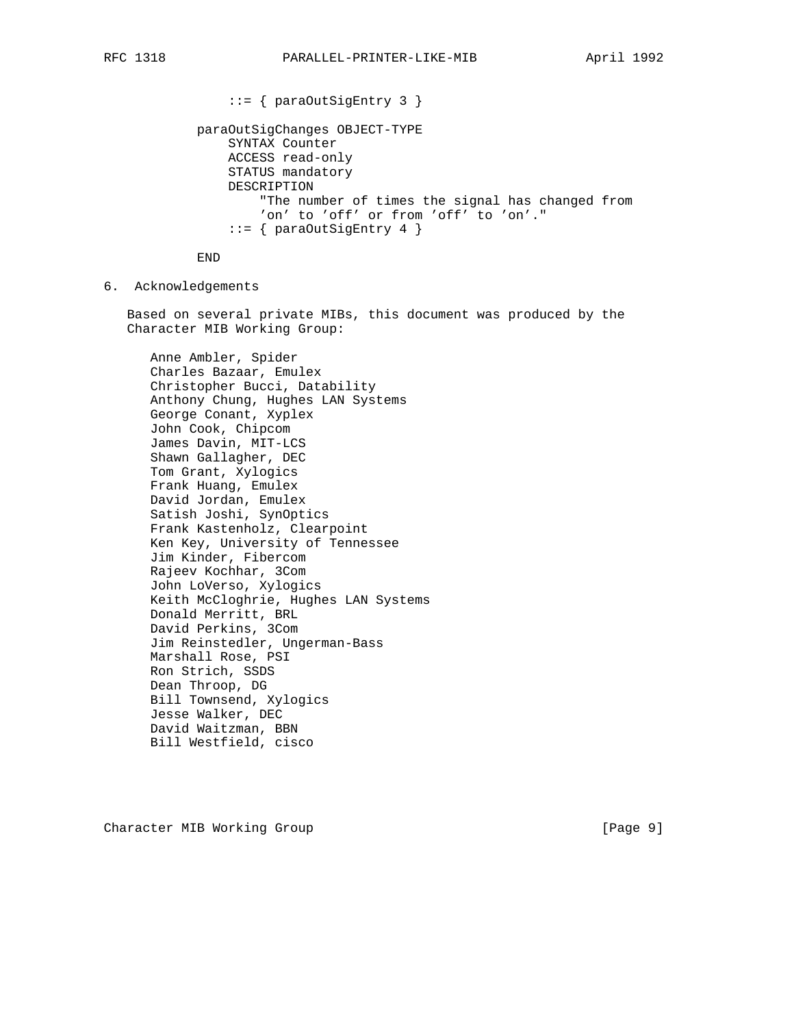```
 ::= { paraOutSigEntry 3 }
paraOutSigChanges OBJECT-TYPE
    SYNTAX Counter
    ACCESS read-only
    STATUS mandatory
    DESCRIPTION
        "The number of times the signal has changed from
        'on' to 'off' or from 'off' to 'on'."
    ::= { paraOutSigEntry 4 }
```
END

6. Acknowledgements

 Based on several private MIBs, this document was produced by the Character MIB Working Group:

 Anne Ambler, Spider Charles Bazaar, Emulex Christopher Bucci, Datability Anthony Chung, Hughes LAN Systems George Conant, Xyplex John Cook, Chipcom James Davin, MIT-LCS Shawn Gallagher, DEC Tom Grant, Xylogics Frank Huang, Emulex David Jordan, Emulex Satish Joshi, SynOptics Frank Kastenholz, Clearpoint Ken Key, University of Tennessee Jim Kinder, Fibercom Rajeev Kochhar, 3Com John LoVerso, Xylogics Keith McCloghrie, Hughes LAN Systems Donald Merritt, BRL David Perkins, 3Com Jim Reinstedler, Ungerman-Bass Marshall Rose, PSI Ron Strich, SSDS Dean Throop, DG Bill Townsend, Xylogics Jesse Walker, DEC David Waitzman, BBN Bill Westfield, cisco

Character MIB Working Group **Example 20** (Page 9]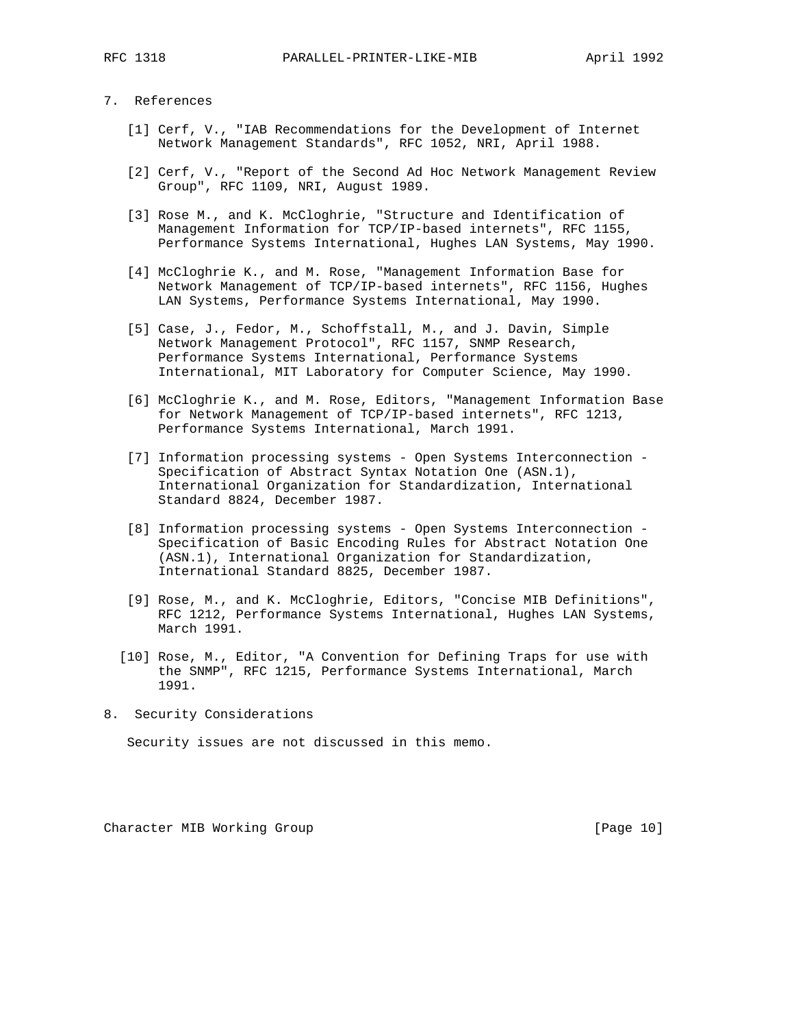## 7. References

- [1] Cerf, V., "IAB Recommendations for the Development of Internet Network Management Standards", RFC 1052, NRI, April 1988.
- [2] Cerf, V., "Report of the Second Ad Hoc Network Management Review Group", RFC 1109, NRI, August 1989.
- [3] Rose M., and K. McCloghrie, "Structure and Identification of Management Information for TCP/IP-based internets", RFC 1155, Performance Systems International, Hughes LAN Systems, May 1990.
- [4] McCloghrie K., and M. Rose, "Management Information Base for Network Management of TCP/IP-based internets", RFC 1156, Hughes LAN Systems, Performance Systems International, May 1990.
- [5] Case, J., Fedor, M., Schoffstall, M., and J. Davin, Simple Network Management Protocol", RFC 1157, SNMP Research, Performance Systems International, Performance Systems International, MIT Laboratory for Computer Science, May 1990.
- [6] McCloghrie K., and M. Rose, Editors, "Management Information Base for Network Management of TCP/IP-based internets", RFC 1213, Performance Systems International, March 1991.
- [7] Information processing systems Open Systems Interconnection Specification of Abstract Syntax Notation One (ASN.1), International Organization for Standardization, International Standard 8824, December 1987.
- [8] Information processing systems Open Systems Interconnection Specification of Basic Encoding Rules for Abstract Notation One (ASN.1), International Organization for Standardization, International Standard 8825, December 1987.
- [9] Rose, M., and K. McCloghrie, Editors, "Concise MIB Definitions", RFC 1212, Performance Systems International, Hughes LAN Systems, March 1991.
- [10] Rose, M., Editor, "A Convention for Defining Traps for use with the SNMP", RFC 1215, Performance Systems International, March 1991.
- 8. Security Considerations

Security issues are not discussed in this memo.

Character MIB Working Group **[Page 10]** [Page 10]